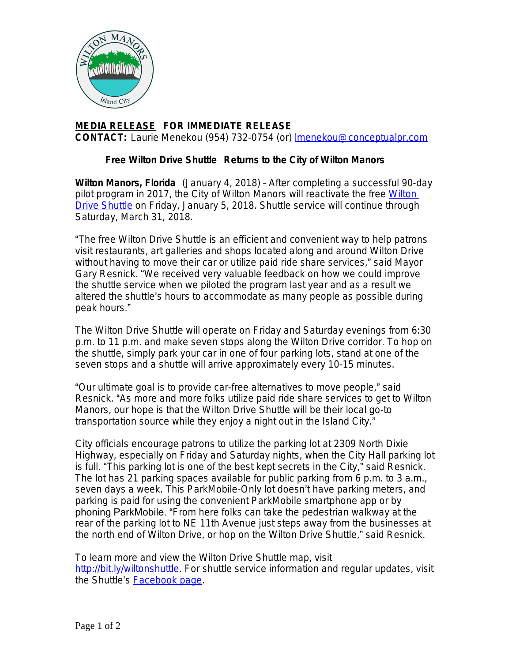

## **MEDIA RELEASE FOR IMMEDIATE RELEASE CONTACT:** Laurie Menekou (954) 732-0754 (or) [lmenekou@conceptualpr.com](mailto:lmenekou@conceptualpr.com)

## **Free Wilton Drive Shuttle Returns to the City of Wilton Manors**

**Wilton Manors, Florida** (January 4, 2018) – After completing a successful 90-day pilot program in 2017, the City of Wilton Manors will reactivate the free [Wilton](http://bit.ly/wiltonshuttle)  Drive Shuttle on Friday, January 5, 2018. Shuttle service will continue through Saturday, March 31, 2018.

"The free Wilton Drive Shuttle is an efficient and convenient way to help patrons visit restaurants, art galleries and shops located along and around Wilton Drive without having to move their car or utilize paid ride share services," said Mayor Gary Resnick. "We received very valuable feedback on how we could improve the shuttle service when we piloted the program last year and as a result we altered the shuttle's hours to accommodate as many people as possible during peak hours."

The Wilton Drive Shuttle will operate on Friday and Saturday evenings from 6:30 p.m. to 11 p.m. and make seven stops along the Wilton Drive corridor. To hop on the shuttle, simply park your car in one of four parking lots, stand at one of the seven stops and a shuttle will arrive approximately every 10-15 minutes.

"Our ultimate goal is to provide car-free alternatives to move people," said Resnick. "As more and more folks utilize paid ride share services to get to Wilton Manors, our hope is that the Wilton Drive Shuttle will be their local go-to transportation source while they enjoy a night out in the Island City."

City officials encourage patrons to utilize the parking lot at 2309 North Dixie Highway, especially on Friday and Saturday nights, when the City Hall parking lot is full. "This parking lot is one of the best kept secrets in the City," said Resnick. The lot has 21 parking spaces available for public parking from 6 p.m. to 3 a.m., seven days a week. This ParkMobile-Only lot doesn't have parking meters, and parking is paid for using the convenient ParkMobile smartphone app or by phoning ParkMobile. "From here folks can take the pedestrian walkway at the rear of the parking lot to NE 11th Avenue just steps away from the businesses at the north end of Wilton Drive, or hop on the Wilton Drive Shuttle," said Resnick.

To learn more and view the Wilton Drive Shuttle map, visit <http://bit.ly/wiltonshuttle>. For shuttle service information and regular updates, visit the Shuttle's [Facebook page.](https://www.facebook.com/WiltonDriveShuttle)